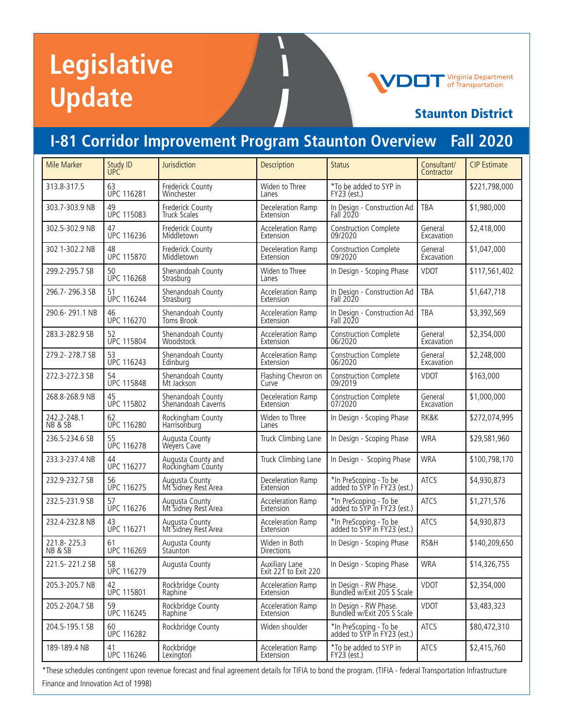# **Legislative Update**

## **Virginia Department**<br>of Transportation

## Staunton District

# **I-81 Corridor Improvement Program Staunton Overview Fall 2020**

| Mile Marker            | Study ID<br><b>UPC</b>  | Jurisdiction                            | Description                            | <b>Status</b>                                         | Consultant/<br>Contractor | <b>CIP Estimate</b> |
|------------------------|-------------------------|-----------------------------------------|----------------------------------------|-------------------------------------------------------|---------------------------|---------------------|
| 313.8-317.5            | 63<br><b>UPC 116281</b> | Frederick County<br>Winchester          | Widen to Three<br>Lanes                | *To be added to SYP in<br>FY23 (est.)                 |                           | \$221,798,000       |
| 303.7-303.9 NB         | 49<br><b>UPC 115083</b> | Frederick County<br><b>Truck Scales</b> | Deceleration Ramp<br>Extension         | In Design - Construction Ad<br>Fall 2020              | <b>TBA</b>                | \$1,980,000         |
| 302.5-302.9 NB         | 47<br><b>UPC 116236</b> | Frederick County<br>Middletown          | Acceleration Ramp<br>Extension         | <b>Construction Complete</b><br>09/2020               | General<br>Excavation     | \$2,418,000         |
| 302.1-302.2 NB         | 48<br><b>UPC 115870</b> | Frederick County<br>Middletown          | Deceleration Ramp<br>Extension         | Construction Complete<br>09/2020                      | General<br>Excavation     | \$1,047,000         |
| 299.2-295.7 SB         | 50<br><b>UPC 116268</b> | Shenandoah County<br>Strasburg          | Widen to Three<br>Lanes                | In Design - Scoping Phase                             | VDOT                      | \$117,561,402       |
| 296.7-296.3 SB         | 51<br><b>UPC 116244</b> | Shenandoah County<br>Strasburg          | Acceleration Ramp<br>Extension         | In Design - Construction Ad<br>Fall 2020              | <b>TBA</b>                | \$1,647,718         |
| 290.6-291.1 NB         | 46<br><b>UPC 116270</b> | Shenandoah County<br>Toms Brook         | Acceleration Ramp<br>Extension         | In Design - Construction Ad<br>Fall 2020              | <b>TBA</b>                | \$3,392,569         |
| 283.3-282.9 SB         | 52<br><b>UPC 115804</b> | Shenandoah County<br><b>Woodstock</b>   | Acceleration Ramp<br>Extension         | Construction Complete<br>06/2020                      | General<br>Excavation     | \$2,354,000         |
| 279.2-278.7 SB         | 53<br><b>UPC 116243</b> | Shenandoah County<br>Edinburg           | Acceleration Ramp<br>Extension         | Construction Complete<br>06/2020                      | General<br>Excavation     | \$2,248,000         |
| 272.3-272.3 SB         | 54<br><b>UPC 115848</b> | Shenandoah County<br>Mt Jackson         | Flashing Chevron on<br>Curve           | Construction Complete<br>09/2019                      | <b>VDOT</b>               | \$163,000           |
| 268.8-268.9 NB         | 45<br><b>UPC 115802</b> | Shenandoah County<br>Shenandoah Caverns | Deceleration Ramp<br>Extension         | <b>Construction Complete</b><br>07/2020               | General<br>Excavation     | \$1,000,000         |
| 242.2-248.1<br>NB & SB | 62<br><b>UPC 116280</b> | Rockingham County<br>Harrisonburg       | Widen to Three<br>Lanes                | In Design - Scoping Phase                             | RK&K                      | \$272,074,995       |
| 236.5-234.6 SB         | 55<br><b>UPC 116278</b> | Augusta County<br>Wevers Cave           | Truck Climbing Lane                    | In Design - Scoping Phase                             | <b>WRA</b>                | \$29,581,960        |
| 233.3-237.4 NB         | 44<br><b>UPC 116277</b> | Augusta County and<br>Rockingham County | Truck Climbing Lane                    | In Design - Scoping Phase                             | <b>WRA</b>                | \$100,798,170       |
| 232.9-232.7 SB         | 56<br><b>UPC 116275</b> | Augusta County<br>Mt Sidney Rest Area   | Deceleration Ramp<br>Extension         | *In PreScoping - To be<br>added to SYP in FY23 (est.) | <b>ATCS</b>               | \$4,930,873         |
| 232.5-231.9 SB         | 57<br><b>UPC 116276</b> | Augusta County<br>Mt Sidney Rest Area   | Acceleration Ramp<br>Extension         | *In PreScoping - To be<br>added to SYP in FY23 (est.) | <b>ATCS</b>               | \$1,271,576         |
| 232.4-232.8 NB         | 43<br><b>UPC 116271</b> | Augusta County<br>Mt Sidney Rest Area   | Acceleration Ramp<br>Extension         | *In PreScoping - To be<br>added to SYP in FY23 (est.) | <b>ATCS</b>               | \$4,930,873         |
| 221.8-225.3<br>NB&SB   | 61<br><b>UPC 116269</b> | Augusta County<br>Staunton              | Widen in Both<br>Directions            | In Design - Scoping Phase                             | RS&H                      | \$140,209,650       |
| 221.5-221.2 SB         | 58<br><b>UPC 116279</b> | Augusta County                          | Auxiliary Lane<br>Exit 221 to Exit 220 | In Design - Scoping Phase                             | <b>WRA</b>                | \$14,326,755        |
| 205.3-205.7 NB         | 42<br>UPC 115801        | Rockbridge County<br>Raphine            | Acceleration Ramp<br>Extension         | In Design - RW Phase.<br>Bundled w/Exit 205 S Scale   | <b>VDOT</b>               | \$2,354,000         |
| 205.2-204.7 SB         | 59<br><b>UPC 116245</b> | Rockbridge County<br>Raphine            | Acceleration Ramp<br>Extension         | In Design - RW Phase.<br>Bundled w/Exit 205 S Scale   | <b>VDOT</b>               | \$3,483,323         |
| 204.5-195.1 SB         | 60<br><b>UPC 116282</b> | Rockbridge County                       | Widen shoulder                         | *In PreScoping - To be<br>added to SYP in FY23 (est.) | ATCS                      | \$80,472,310        |
| 189-189.4 NB           | 41<br>UPC 116246        | Rockbridge<br>Lexington                 | Acceleration Ramp<br>Extension         | *To be added to SYP in<br>FY23 (est.)                 | ATCS                      | \$2,415,760         |

\*These schedules contingent upon revenue forecast and final agreement details for TIFIA to bond the program. (TIFIA - federal Transportation Infrastructure Finance and Innovation Act of 1998)